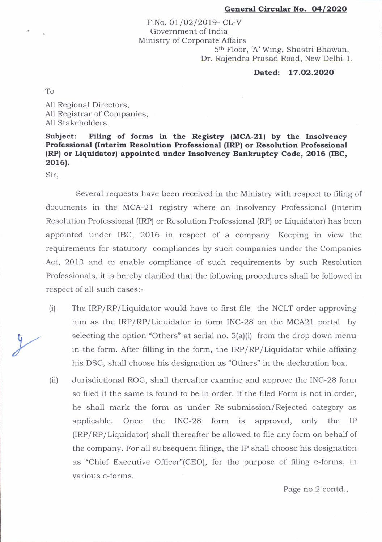## General Circular No. 04/2020

F.No. 01/02/2019- CL-V Government of India Ministry of Corporate Affairs 5th Floor, A'Wing, Shastri Bhawan, Dr. Rajendra Prasad Road, New Delhi-1.

## Dated: 17.O2.2O2O

To

All Regional Directors, All Registrar of Companies, All Stakeholders.

## Subject: Filing of forms in the Registry (MCA-21) by the Insolvency Professional (Interim Resolution Professional (IRP) or Resolution Professional (RP) or Liquidator) appointed under Insolvency Bankruptcy Code, 2016 (IBC, 2016).

Sir,

Several requests have been received in the Ministry with respect to filing of documents in the MCA-21 registry where an Insolvency Professional (Interim Resolution Professional (lRP) or Resolution Professional (RP) or Liquidator) has been appointed under IBC, 2016 in respect of a company. Keeping in view the requirements for statutory compliances by such companies under the Companies Act, 2013 and to enable compliance of such requirements by such Resolution Professionals, it is hereby clarified that the following procedures shall be followed in respect of all such cases:-

- The IRP/RP/Liquidator would have to first file the NCLT order approving him as the IRP/RP/Liquidator in form INC-28 on the MCA21 portal by selecting the option "Others" at serial no.  $5(a)(i)$  from the drop down menu in the form. After filling in the form, the IRP/RP/Liquidator while affixing his DSC, shall choose his designation as "Others" in the declaration box. (i)
- Jurisdictional ROC, shall thereafter examine and approve the INC-28 form so filed if the same is found to be in order. If the filed Form is not in order, he shall mark the form as under Re-submission/Rejected category as applicable. Once the INC-28 form is approved, only the IP (lRP/ RP/ Liquidator) shall thereafter be allowed to file any form on behalf of the company. For all subsequent filings, the IP shall choose his designation as "Chief Executive Officer"(CEO), for the purpose of filing e-forms, in various e-forms.  $(iii)$

Page no.2 contd.,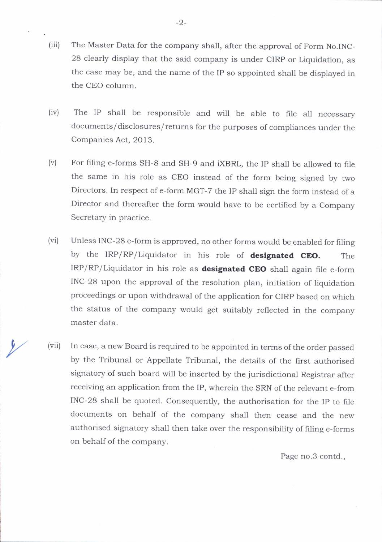- (iii) The Master Data for the company shall, after the approval of Form No.INC-28 clearly display that the said company is under CIRp or Liquidation, as the case may be, and the name of the IP so appointed shall be dispiayed in the CEO column.
- (iv) The IP shall be responsible and will be able to file all necessary documents/ disclosures/ returns for the purposes of compliances under the Companies Act, 2013.
- $(v)$ For filing e-forms SH-8 and SH-9 and iXBRL, the Ip shall be allowed to file the same in his role as CEO instead of the form being signed by two Directors. In respect of e-form MGT-7 the IP shall sign the form instead of a Director and thereafter the form would have to be certified by a Company Secretary in practice.
- (vi) Unless INC-28 e-form is approved, no other forms would be enabled for filine by the IRP/RP/Liquidator in his role of designated CEO. The IRP/RP/Liquidator in his role as **designated CEO** shall again file e-form INC-28 upon the approval of the resolution plan, initiation of liquidation proceedings or upon withdrawal of the application for CIRp based on which the status of the company would get suitably reflected in the company master data.
- In case, a new Board is required to be appointed in terms of the order passed by the Tribunal or Appellate Tribunal, the details of the first authorised signatory of such board will be inserted by the jurisdictional Registrar after receiving an application from the IP, wherein the SRN of the relevant e-from INC-28 shall be quoted. Consequently, the authorisation for the IP to file documents on behalf of the company shall then cease and the new authorised signatory shali then take over the responsibility of filing e-forms on behalf of the company.  $\frac{1}{\sqrt{2}}$  (vii)

Page no.3 contd.,